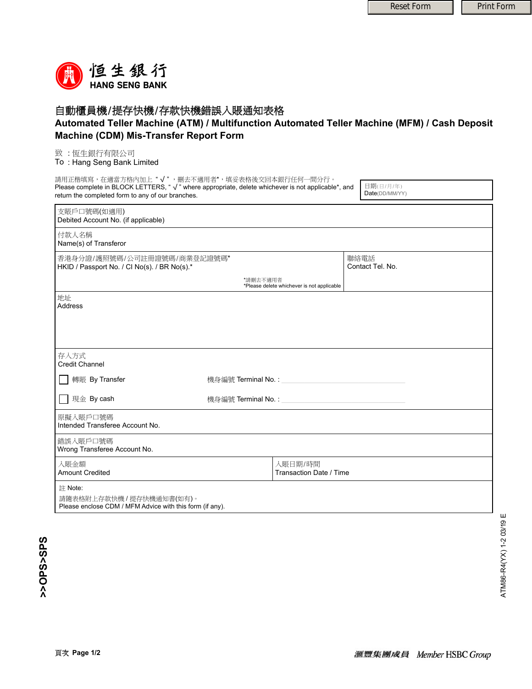

## 自動櫃員機/提存快機/存款快機錯誤入賬通知表格

## **Automated Teller Machine (ATM) / Multifunction Automated Teller Machine (MFM) / Cash Deposit Machine (CDM) Mis-Transfer Report Form**

## 致 : 恆生銀行有限公司

To : Hang Seng Bank Limited

| 請用正楷填寫,在適當方格內加上"√",刪去不適用者*,填妥表格後交回本銀行任何一間分行。                                                                                                           |                     |                                    |  |                             |
|--------------------------------------------------------------------------------------------------------------------------------------------------------|---------------------|------------------------------------|--|-----------------------------|
| Please complete in BLOCK LETTERS, "√" where appropriate, delete whichever is not applicable*, and<br>return the completed form to any of our branches. |                     |                                    |  | 日期(日/月/年)<br>Date(DD/MM/YY) |
| 支賬戶口號碼(如適用)<br>Debited Account No. (if applicable)                                                                                                     |                     |                                    |  |                             |
| 付款人名稱<br>Name(s) of Transferor                                                                                                                         |                     |                                    |  |                             |
| 香港身分證/護照號碼/公司註冊證號碼/商業登記證號碼*<br>HKID / Passport No. / CI No(s). / BR No(s).*                                                                            |                     |                                    |  | 聯絡電話<br>Contact Tel. No.    |
| *請刪去不適用者<br>*Please delete whichever is not applicable                                                                                                 |                     |                                    |  |                             |
| 地址<br>Address                                                                                                                                          |                     |                                    |  |                             |
| 存入方式<br><b>Credit Channel</b>                                                                                                                          |                     |                                    |  |                             |
| 轉賬 By Transfer                                                                                                                                         | 機身編號 Terminal No. : |                                    |  |                             |
| 現金 By cash                                                                                                                                             | 機身編號 Terminal No.:  |                                    |  |                             |
| 原擬入賬戶口號碼<br>Intended Transferee Account No.                                                                                                            |                     |                                    |  |                             |
| 錯誤入賬戶口號碼<br>Wrong Transferee Account No.                                                                                                               |                     |                                    |  |                             |
| 入賬金額<br><b>Amount Credited</b>                                                                                                                         |                     | 入賬日期/時間<br>Transaction Date / Time |  |                             |
| 註 Note:<br>請隨表格附上存款快機/提存快機通知書(如有)。<br>Please enclose CDM / MFM Advice with this form (if any).                                                         |                     |                                    |  |                             |

>>OPS<SPS **>>OPS>SPS**